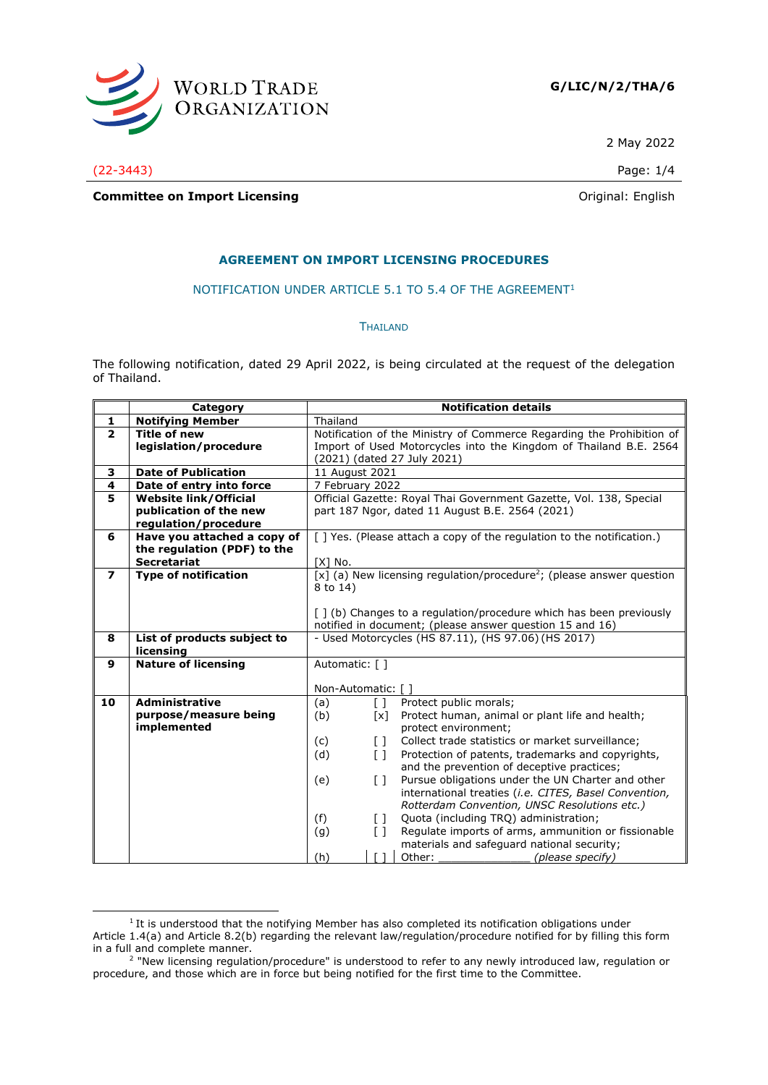

2 May 2022

(22-3443) Page: 1/4

**Committee on Import Licensing Committee on Import Licensing** 

### **AGREEMENT ON IMPORT LICENSING PROCEDURES**

#### NOTIFICATION UNDER ARTICLE 5.1 TO 5.4 OF THE AGREEMENT<sup>1</sup>

#### **THAILAND**

The following notification, dated 29 April 2022, is being circulated at the request of the delegation of Thailand.

| Category                     | <b>Notification details</b>                                                                                                                                                                                                                                                                                      |
|------------------------------|------------------------------------------------------------------------------------------------------------------------------------------------------------------------------------------------------------------------------------------------------------------------------------------------------------------|
| <b>Notifying Member</b>      | Thailand                                                                                                                                                                                                                                                                                                         |
| <b>Title of new</b>          | Notification of the Ministry of Commerce Regarding the Prohibition of                                                                                                                                                                                                                                            |
| legislation/procedure        | Import of Used Motorcycles into the Kingdom of Thailand B.E. 2564                                                                                                                                                                                                                                                |
|                              | (2021) (dated 27 July 2021)                                                                                                                                                                                                                                                                                      |
| <b>Date of Publication</b>   | 11 August 2021                                                                                                                                                                                                                                                                                                   |
|                              | 7 February 2022                                                                                                                                                                                                                                                                                                  |
| <b>Website link/Official</b> | Official Gazette: Royal Thai Government Gazette, Vol. 138, Special                                                                                                                                                                                                                                               |
|                              | part 187 Ngor, dated 11 August B.E. 2564 (2021)                                                                                                                                                                                                                                                                  |
| regulation/procedure         |                                                                                                                                                                                                                                                                                                                  |
|                              | [] Yes. (Please attach a copy of the regulation to the notification.)                                                                                                                                                                                                                                            |
|                              |                                                                                                                                                                                                                                                                                                                  |
|                              | $[X]$ No.                                                                                                                                                                                                                                                                                                        |
|                              | [x] (a) New licensing regulation/procedure <sup>2</sup> ; (please answer question                                                                                                                                                                                                                                |
|                              | 8 to 14)                                                                                                                                                                                                                                                                                                         |
|                              |                                                                                                                                                                                                                                                                                                                  |
|                              | [ ] (b) Changes to a regulation/procedure which has been previously                                                                                                                                                                                                                                              |
|                              | notified in document; (please answer question 15 and 16)                                                                                                                                                                                                                                                         |
|                              | - Used Motorcycles (HS 87.11), (HS 97.06) (HS 2017)                                                                                                                                                                                                                                                              |
|                              |                                                                                                                                                                                                                                                                                                                  |
|                              | Automatic: [ ]                                                                                                                                                                                                                                                                                                   |
|                              | Non-Automatic: []                                                                                                                                                                                                                                                                                                |
|                              | Protect public morals;<br>(a)<br>$\lceil \rceil$                                                                                                                                                                                                                                                                 |
|                              | Protect human, animal or plant life and health;<br>(b)<br>[x]                                                                                                                                                                                                                                                    |
|                              | protect environment;                                                                                                                                                                                                                                                                                             |
|                              | (c)<br>Collect trade statistics or market surveillance;<br>$\Box$                                                                                                                                                                                                                                                |
|                              | (d)<br>Protection of patents, trademarks and copyrights,<br>$\lceil$ $\rceil$                                                                                                                                                                                                                                    |
|                              | and the prevention of deceptive practices;                                                                                                                                                                                                                                                                       |
|                              | Pursue obligations under the UN Charter and other<br>(e)<br>$\Box$                                                                                                                                                                                                                                               |
|                              | international treaties (i.e. CITES, Basel Convention,                                                                                                                                                                                                                                                            |
|                              | Rotterdam Convention, UNSC Resolutions etc.)                                                                                                                                                                                                                                                                     |
|                              | (f)<br>Quota (including TRQ) administration;<br>$\lceil$ $\rceil$                                                                                                                                                                                                                                                |
|                              | Regulate imports of arms, ammunition or fissionable<br>(g)<br>$\begin{bmatrix} 1 \end{bmatrix}$                                                                                                                                                                                                                  |
|                              | materials and safeguard national security;                                                                                                                                                                                                                                                                       |
|                              | (h)<br>Other:<br>(please specify)                                                                                                                                                                                                                                                                                |
|                              | Date of entry into force<br>publication of the new<br>Have you attached a copy of<br>the regulation (PDF) to the<br><b>Secretariat</b><br><b>Type of notification</b><br>List of products subject to<br>licensing<br><b>Nature of licensing</b><br><b>Administrative</b><br>purpose/measure being<br>implemented |

 $1$  It is understood that the notifying Member has also completed its notification obligations under Article 1.4(a) and Article 8.2(b) regarding the relevant law/regulation/procedure notified for by filling this form in a full and complete manner.<br><sup>2</sup> "New licensing regulation/procedure" is understood to refer to any newly introduced law, regulation or

procedure, and those which are in force but being notified for the first time to the Committee.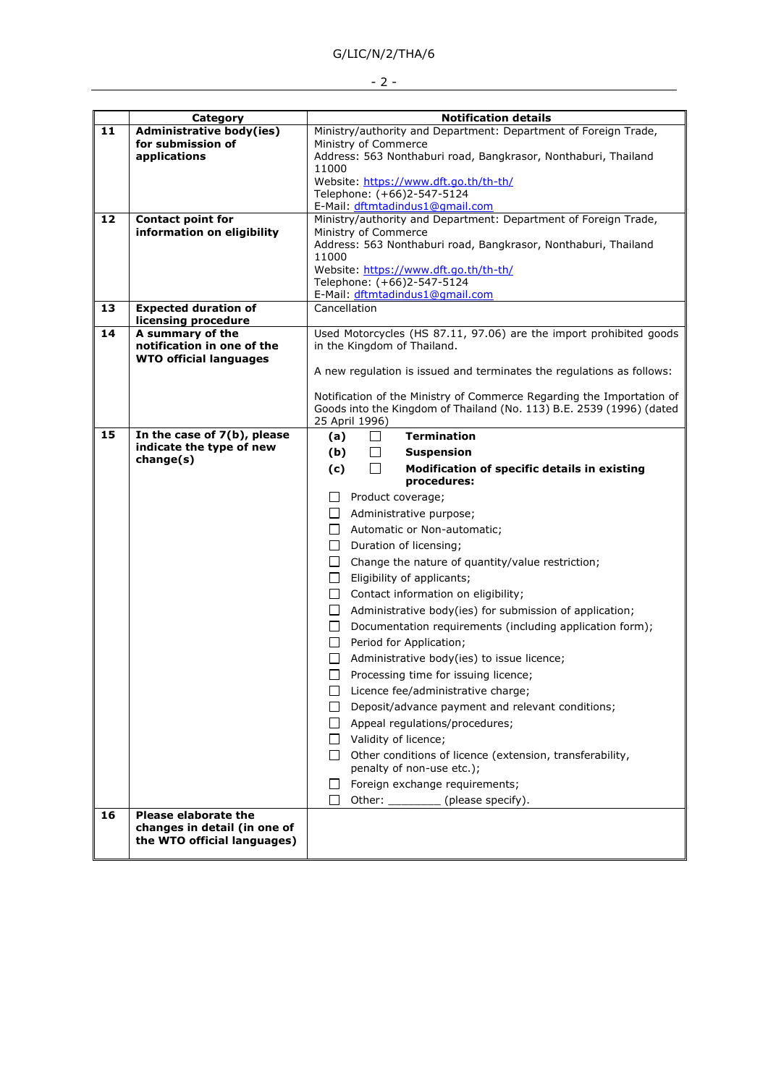# G/LIC/N/2/THA/6

- 2 -

|    | Category                                                    | <b>Notification details</b>                                                           |
|----|-------------------------------------------------------------|---------------------------------------------------------------------------------------|
| 11 | <b>Administrative body(ies)</b>                             | Ministry/authority and Department: Department of Foreign Trade,                       |
|    | for submission of                                           | Ministry of Commerce                                                                  |
|    | applications                                                | Address: 563 Nonthaburi road, Bangkrasor, Nonthaburi, Thailand                        |
|    |                                                             | 11000                                                                                 |
|    |                                                             | Website: https://www.dft.go.th/th-th/<br>Telephone: (+66)2-547-5124                   |
|    |                                                             | E-Mail: dftmtadindus1@gmail.com                                                       |
| 12 | <b>Contact point for</b>                                    | Ministry/authority and Department: Department of Foreign Trade,                       |
|    | information on eligibility                                  | Ministry of Commerce                                                                  |
|    |                                                             | Address: 563 Nonthaburi road, Bangkrasor, Nonthaburi, Thailand                        |
|    |                                                             | 11000<br>Website: https://www.dft.go.th/th-th/                                        |
|    |                                                             | Telephone: (+66)2-547-5124                                                            |
|    |                                                             | E-Mail: dftmtadindus1@gmail.com                                                       |
| 13 | <b>Expected duration of</b>                                 | Cancellation                                                                          |
|    | licensing procedure                                         |                                                                                       |
| 14 | A summary of the                                            | Used Motorcycles (HS 87.11, 97.06) are the import prohibited goods                    |
|    | notification in one of the<br><b>WTO official languages</b> | in the Kingdom of Thailand.                                                           |
|    |                                                             | A new regulation is issued and terminates the regulations as follows:                 |
|    |                                                             |                                                                                       |
|    |                                                             | Notification of the Ministry of Commerce Regarding the Importation of                 |
|    |                                                             | Goods into the Kingdom of Thailand (No. 113) B.E. 2539 (1996) (dated                  |
| 15 | In the case of 7(b), please                                 | 25 April 1996)                                                                        |
|    | indicate the type of new                                    | <b>Termination</b><br>(a)<br>$\Box$                                                   |
|    | change(s)                                                   | (b)<br>ப<br><b>Suspension</b>                                                         |
|    |                                                             | (c)<br>П<br>Modification of specific details in existing                              |
|    |                                                             | procedures:                                                                           |
|    |                                                             | Product coverage;                                                                     |
|    |                                                             | $\perp$<br>Administrative purpose;                                                    |
|    |                                                             | Automatic or Non-automatic;<br>$\perp$                                                |
|    |                                                             | $\Box$<br>Duration of licensing;                                                      |
|    |                                                             | Change the nature of quantity/value restriction;<br>$\perp$                           |
|    |                                                             | Eligibility of applicants;<br>$\Box$                                                  |
|    |                                                             | $\Box$ Contact information on eligibility;                                            |
|    |                                                             | Administrative body(ies) for submission of application;<br>$\Box$                     |
|    |                                                             | $\Box$<br>Documentation requirements (including application form);                    |
|    |                                                             | Period for Application;<br>$\perp$                                                    |
|    |                                                             | Administrative body(ies) to issue licence;                                            |
|    |                                                             | Processing time for issuing licence;                                                  |
|    |                                                             | Licence fee/administrative charge;                                                    |
|    |                                                             | Deposit/advance payment and relevant conditions;                                      |
|    |                                                             | Appeal regulations/procedures;                                                        |
|    |                                                             | Validity of licence;                                                                  |
|    |                                                             |                                                                                       |
|    |                                                             | Other conditions of licence (extension, transferability,<br>penalty of non-use etc.); |
|    |                                                             | Foreign exchange requirements;                                                        |
|    |                                                             | Other: ___________ (please specify).                                                  |
| 16 | <b>Please elaborate the</b>                                 |                                                                                       |
|    | changes in detail (in one of                                |                                                                                       |
|    | the WTO official languages)                                 |                                                                                       |
|    |                                                             |                                                                                       |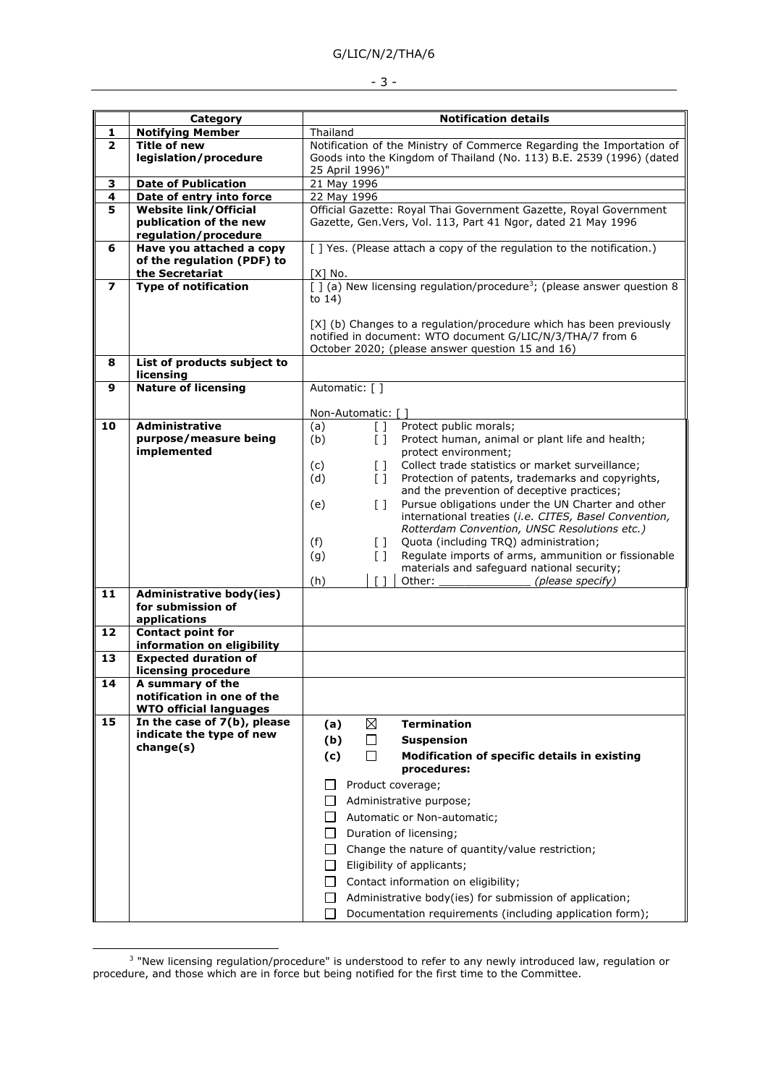## G/LIC/N/2/THA/6

### - 3 -

|              | Category                                                                        | <b>Notification details</b>                                                                                                                                                                                                                                                                                                                                                                                                                                                                                                                                                                                                                                                                                                                                                                     |
|--------------|---------------------------------------------------------------------------------|-------------------------------------------------------------------------------------------------------------------------------------------------------------------------------------------------------------------------------------------------------------------------------------------------------------------------------------------------------------------------------------------------------------------------------------------------------------------------------------------------------------------------------------------------------------------------------------------------------------------------------------------------------------------------------------------------------------------------------------------------------------------------------------------------|
| 1            | <b>Notifying Member</b>                                                         | Thailand                                                                                                                                                                                                                                                                                                                                                                                                                                                                                                                                                                                                                                                                                                                                                                                        |
| $\mathbf{z}$ | <b>Title of new</b><br>legislation/procedure                                    | Notification of the Ministry of Commerce Regarding the Importation of<br>Goods into the Kingdom of Thailand (No. 113) B.E. 2539 (1996) (dated<br>25 April 1996)"                                                                                                                                                                                                                                                                                                                                                                                                                                                                                                                                                                                                                                |
| 3            | <b>Date of Publication</b>                                                      | 21 May 1996                                                                                                                                                                                                                                                                                                                                                                                                                                                                                                                                                                                                                                                                                                                                                                                     |
| 4            | Date of entry into force                                                        | 22 May 1996                                                                                                                                                                                                                                                                                                                                                                                                                                                                                                                                                                                                                                                                                                                                                                                     |
| 5            | <b>Website link/Official</b><br>publication of the new<br>regulation/procedure  | Official Gazette: Royal Thai Government Gazette, Royal Government<br>Gazette, Gen. Vers, Vol. 113, Part 41 Ngor, dated 21 May 1996                                                                                                                                                                                                                                                                                                                                                                                                                                                                                                                                                                                                                                                              |
| 6            | Have you attached a copy<br>of the regulation (PDF) to<br>the Secretariat       | [ ] Yes. (Please attach a copy of the regulation to the notification.)<br>[X] No.                                                                                                                                                                                                                                                                                                                                                                                                                                                                                                                                                                                                                                                                                                               |
| 7            | <b>Type of notification</b>                                                     | $\lceil \cdot \rceil$ (a) New licensing regulation/procedure <sup>3</sup> ; (please answer question 8<br>to $14)$<br>[X] (b) Changes to a regulation/procedure which has been previously<br>notified in document: WTO document G/LIC/N/3/THA/7 from 6<br>October 2020; (please answer question 15 and 16)                                                                                                                                                                                                                                                                                                                                                                                                                                                                                       |
| 8            | List of products subject to<br>licensing                                        |                                                                                                                                                                                                                                                                                                                                                                                                                                                                                                                                                                                                                                                                                                                                                                                                 |
| 9            | <b>Nature of licensing</b>                                                      | Automatic: [ ]<br>Non-Automatic: [ ]                                                                                                                                                                                                                                                                                                                                                                                                                                                                                                                                                                                                                                                                                                                                                            |
| 10           | <b>Administrative</b><br>purpose/measure being<br>implemented                   | Protect public morals;<br>(a)<br>$\Box$<br>(b)<br>$\begin{bmatrix} 1 \end{bmatrix}$<br>Protect human, animal or plant life and health;<br>protect environment;<br>Collect trade statistics or market surveillance;<br>(c)<br>$\Box$<br>(d)<br>$\left[\right]$<br>Protection of patents, trademarks and copyrights,<br>and the prevention of deceptive practices;<br>Pursue obligations under the UN Charter and other<br>(e)<br>$\begin{bmatrix} 1 \end{bmatrix}$<br>international treaties (i.e. CITES, Basel Convention,<br>Rotterdam Convention, UNSC Resolutions etc.)<br>Quota (including TRQ) administration;<br>(f)<br>$\Box$<br>Regulate imports of arms, ammunition or fissionable<br>(g)<br>$\Box$<br>materials and safeguard national security;<br>(h)<br>Other:<br>(please specify) |
| 11           | <b>Administrative body(ies)</b><br>for submission of<br>applications            |                                                                                                                                                                                                                                                                                                                                                                                                                                                                                                                                                                                                                                                                                                                                                                                                 |
| 12           | <b>Contact point for</b><br>information on eligibility                          |                                                                                                                                                                                                                                                                                                                                                                                                                                                                                                                                                                                                                                                                                                                                                                                                 |
| 13           | <b>Expected duration of</b><br>licensing procedure                              |                                                                                                                                                                                                                                                                                                                                                                                                                                                                                                                                                                                                                                                                                                                                                                                                 |
| 14           | A summary of the<br>notification in one of the<br><b>WTO official languages</b> |                                                                                                                                                                                                                                                                                                                                                                                                                                                                                                                                                                                                                                                                                                                                                                                                 |
| 15           | In the case of 7(b), please<br>indicate the type of new<br>change(s)            | <b>Termination</b><br>⊠<br>(a)<br>(b)<br>$\Box$<br><b>Suspension</b><br>(c)<br>$\perp$<br>Modification of specific details in existing<br>procedures:<br>Product coverage;<br>Administrative purpose;<br>l 1<br>Automatic or Non-automatic;<br>$\perp$<br>Duration of licensing;<br>$\Box$<br>Change the nature of quantity/value restriction;<br>$\Box$<br>Eligibility of applicants;<br>$\Box$<br>□<br>Contact information on eligibility;<br>Administrative body(ies) for submission of application;<br>$\perp$<br>Documentation requirements (including application form);                                                                                                                                                                                                                  |

<sup>&</sup>lt;sup>3</sup> "New licensing regulation/procedure" is understood to refer to any newly introduced law, regulation or procedure, and those which are in force but being notified for the first time to the Committee.